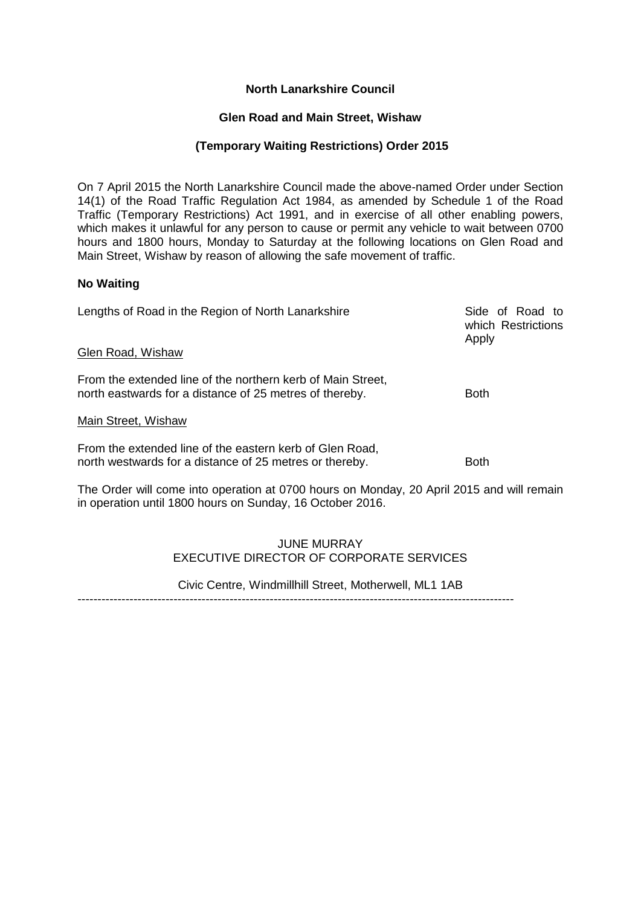# **North Lanarkshire Council**

# **Glen Road and Main Street, Wishaw**

# **(Temporary Waiting Restrictions) Order 2015**

On 7 April 2015 the North Lanarkshire Council made the above-named Order under Section 14(1) of the Road Traffic Regulation Act 1984, as amended by Schedule 1 of the Road Traffic (Temporary Restrictions) Act 1991, and in exercise of all other enabling powers, which makes it unlawful for any person to cause or permit any vehicle to wait between 0700 hours and 1800 hours, Monday to Saturday at the following locations on Glen Road and Main Street, Wishaw by reason of allowing the safe movement of traffic.

### **No Waiting**

| Lengths of Road in the Region of North Lanarkshire                                                                     | Side of Road to<br>which Restrictions<br>Apply |
|------------------------------------------------------------------------------------------------------------------------|------------------------------------------------|
| Glen Road, Wishaw                                                                                                      |                                                |
| From the extended line of the northern kerb of Main Street,<br>north eastwards for a distance of 25 metres of thereby. | <b>Both</b>                                    |
| Main Street, Wishaw                                                                                                    |                                                |
| From the extended line of the eastern kerb of Glen Road,<br>north westwards for a distance of 25 metres or thereby.    | <b>Both</b>                                    |

The Order will come into operation at 0700 hours on Monday, 20 April 2015 and will remain in operation until 1800 hours on Sunday, 16 October 2016.

# JUNE MURRAY EXECUTIVE DIRECTOR OF CORPORATE SERVICES

Civic Centre, Windmillhill Street, Motherwell, ML1 1AB

-------------------------------------------------------------------------------------------------------------